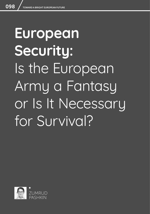# **European Security:**  Is the European Army a Fantasy or Is It Necessary for Survival?

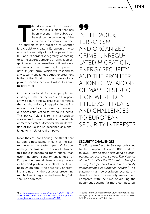099

The discussion of the Europe-<br>
The answers is a subject that has<br>
been present in the public de-<br>
bate since the beginning of the<br>
creation of a common Europe.<br>
The answers to the question of whether an army is a subject that has been present in the public debate since the beginning of the creation of a common Europe. it is crucial to create a European army to ensure the security of the European Union (EU) and its borders vary greatly. According to some experts<sup>1</sup>, creating an army is an urgent necessity because the continent is not secure anymore. Therefore, Europe *must have* its joint army, which will respond to any security challenges. Another argument is that if the EU aims to become a global power, it cannot achieve it without its own military force.

On the other hand, for other people discussing this matter, the idea of a European army is a pure fantasy. The reason for this is the fact that military integration in the European Union has been discussed on various occasions, yet so far without success. This policy field still remains a sensitive area when it comes to national sovereignty of member states. Moreover, the militarization of the EU is also described as a challenge to its role of 'civilian power'

Nevertheless, considering the threat that Europe is now facing in light of the current war in the eastern part of Europe, namely the Russian invasion of Ukraine, this topic is becoming more critical than ever. Therefore, security challenges for Europe, the general views among the societies and political officials of the European Union about the possibility of creating a joint army, the obstacles preventing much closer integration in the military field shall be addressed.

1 See: <https://euobserver.com/opinion/154311>; [https://](https://www.brusselstimes.com/author/avgeorgiou489) [www.brusselstimes.com/author/avgeorgiou489](https://www.brusselstimes.com/author/avgeorgiou489); [https://](https://carnegieeurope.eu/strategiceurope/59312 ) [carnegieeurope.eu/strategiceurope/59312](https://carnegieeurope.eu/strategiceurope/59312 ) 

99 IN THE 2000s, TERRORISM AND ORGANIZED CRIME, UNREGU-LATED MIGRATION, ENERGY SECURITY, AND THE PROLIFER-ATION OF WEAPONS OF MASS DESTRUC-TION WERE IDEN-TIFIED AS THREATS AND CHALLENGES TO EUROPEAN SECURITY INTERESTS

# SECURITY CHALLENGES

The European Security Strategy published by the European Union in 2003, starts as follows: *"Europe has never been so prosperous, so secure nor so free. The violence of the first half of the 20th century has given way to a period of peace and stability unprecedented in European history."*<sup>2</sup> This statement has, however, been recently rendered obsolete. The security environment compared with the time of drafting the document became far more complicated,

<sup>2</sup> Council of the European Union (2009) *European Security Agency: A Secure Europe in a Better World*, Brussels: DGF Communication/Publications.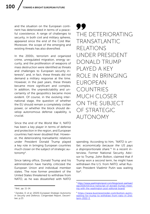and the situation on the European continent has deteriorated in terms of a peaceful coexistence. A range of challenges to security, in both civil and military spheres, appeared since the end of the Cold War. Moreover, the scope of the emerging and existing threats has also diversified.

In the 2000s, terrorism and organized crime, unregulated migration, energy security, and the proliferation of weapons of mass destruction were identified as threats and challenges to European security interests $3$ , and, in fact, these threats did not demand a military response at the time. However, in the past years, these threats became more significant and complex. In addition, the unpredictability and uncertainty of the geopolitics became more evident. Of course, in the evolving international stage, the question of whether the EU should remain a completely civilian power, or whether the block should develop autonomous defense capability, is crucial.

Since the end of the World War II, NATO has been a key player in terms of defense and protection in the region, and European countries had never doubted that. However, the deteriorating transatlantic relations under President Donald Trump played a key role in bringing European countries much closer on the subject of strategic autonomy4.

Since taking office, Donald Trump and his administration have harshly criticized the European Union and individual member states. The now former president of the United States threatened to withdraw from NATO, as he was dissatisfied with NATO

99 THE DETERIORATING TRANSATLANTIC RELATIONS UNDER PRESIDENT DONALD TRUMP PLAYED A KEY ROLE IN BRINGING EUROPEAN COUNTRIES MUCH CLOSER ON THE SUBJECT OF STRATEGIC AUTONOMY

spending. According to him, *"NATO is unfair, economically because the US pays a disproportionate share."*<sup>5</sup> In a recent interview, Former National Security Advisor to Trump, John Bolton, claimed that if Trump won a second term, he might have withdrawn the U.S. from NATO, what Russian President Vladimir Putin was waiting for6.

<sup>3</sup> Ibid., pp. 11-14.

<sup>4</sup> Zandee, D. et al. (2020) *European Strategic Autonomy in Security and Defence*, Clingendael Report, December, p.23.

<sup>5</sup> [https://www.washingtonpost.com/blogs/post-partisan/](https://www.washingtonpost.com/blogs/post-partisan/wp/2016/03/21/a-transcript-of-donald-trumps-meeting-with-the-washington-post-editorial-board/) [wp/2016/03/21/a-transcript-of-donald-trumps-meet](https://www.washingtonpost.com/blogs/post-partisan/wp/2016/03/21/a-transcript-of-donald-trumps-meeting-with-the-washington-post-editorial-board/)[ing-with-the-washington-post-editorial-board/](https://www.washingtonpost.com/blogs/post-partisan/wp/2016/03/21/a-transcript-of-donald-trumps-meeting-with-the-washington-post-editorial-board/)

<sup>6</sup> [https://www.businessinsider.com/bolton-putin](https://www.businessinsider.com/bolton-putin-waiting-for-trump-to-withdraw-from-nato-in-2nd-term-2022-3 )[waiting-for-trump-to-withdraw-from-nato-in-2nd](https://www.businessinsider.com/bolton-putin-waiting-for-trump-to-withdraw-from-nato-in-2nd-term-2022-3 )[term-2022-3](https://www.businessinsider.com/bolton-putin-waiting-for-trump-to-withdraw-from-nato-in-2nd-term-2022-3 )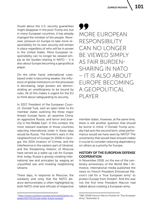Doubt about the U.S. security guarantees might disappear in the post-Trump era, but in many European countries, it has already changed the mindset of the people. Moreover, pressure on Europe to take more responsibility for its own security will remain in place regardless of who will be in power in the United States. More European responsibility can no longer be viewed simply as fair burden-sharing in NATO – it is also about Europe becoming a geopolitical player.

On the other hand, international rulesbased order is becoming weaker, the influence of global institutions on the processes is decreasing, large powers are demonstrating an unwillingness to be bound by rules. All of this makes it urgent for the EU to think about safeguarding its security.

In 2017, President of the European Council, Donald Tusk, sent an open letter to EU member states outlining the three major threats Europe faces: an assertive China, an aggressive Russia, and terror and anarchy in the Middle East<sup>7</sup>. In this context, the most relevant example of those countries rejecting international order in these days would be Russia. The Kremlin's wars in the neighborhood of Europe (in 2008 in Georgia, the 2014 invasion of Crimea, and the interference in the eastern part of Ukraine), and the threatening rhetoric of Moscow have served as a wake-up call for Europe. And, today, Russia is grossly violating international law and principles by waging an unjustified war and invading neighboring Ukraine.

These days, in response to Moscow, the solidarity and unity that the NATO alliance demonstrates is often highlighted by both NATO chief and officials of respective

99 MORE EUROPEAN RESPONSIBILITY CAN NO LONGER BE VIEWED SIMPLY AS FAIR BURDEN-SHARING IN NATO – IT IS ALSO ABOUT EUROPE BECOMING A GEOPOLITICAL PLAYER

member states. However, at the same time, there is still another question that should be borne in mind: if Donald Trump actually had won the second term, what performance would we have seen by NATO? The uncertainty that would have ensued makes it crucial to consider reducing dependency on others as a priority for Europe.

# HISTORY OF THE EUROPEAN DEFENSE **COOPERATION**

In November 2018, on the eve of the centenary anniversary of the World War I Armistice, international media published the news on French President Emmanuel Macron's call for a "true European army" to protect Europe from threats<sup>8</sup>. And this was not the first time President Macron had talked about creating a European army.

<sup>7</sup> [https://www.consilium.europa.eu/en/press/press-re](https://www.consilium.europa.eu/en/press/press-releases/2017/01/31/tusk-letter-future-europe/)[leases/2017/01/31/tusk-letter-future-europe/](https://www.consilium.europa.eu/en/press/press-releases/2017/01/31/tusk-letter-future-europe/) 

<sup>8</sup> BBC (2018) *France's Macron Pushes for "True European Army"*, November 6.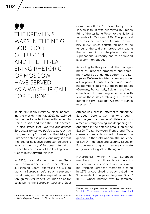# 99 THE KREMLIN'S WARS IN THE NEIGH-BORHOOD OF EUROPE AND THE THREAT-ENING RHETORIC OF MOSCOW HAVE SERVED AS A WAKE-UP CALL FOR EUROPE

In his first radio interview since becoming the president in May 2017, he claimed Europe has to protect itself with respect to China, Russia, and even the United States. He also stated that *"We will not protect Europeans unless we decide to have a true European army."*9 Looking at the history of European defense policy, one may see that the idea of collective European defense is as old as the story of European integration. France has been one of the leading countries to push forward this idea.

In 1950, Jean Monnet, the then General Commissioner of the French National Planning Board, expressed his will to launch a European defense on a supranational basis, an initiative inspired by French foreign minister Robert Schuman's plan for establishing the European Coal and Steel

Community (ECSC)<sup>10</sup>. Known today as the 'Pleven Plan,' it was submitted by French Prime Minister René Pleven to the National Assembly in October 1950. The proposal known as the 'European Defense Community' (EDC), which constituted one of the tenets of the said plan, proposed creating the European Army to be placed under the supranational authority and to be funded by a common budget.

According to this proposal, the management of European armament and equipment would be under the authority of a European Defense Minister operating under a European Defense Council. And founding member states of European integration (Germany, France, Italy, Belgium, the Netherlands, and Luxembourg) all signed it, with four of these states ratifying it. However, during the 1954 National Assembly, France rejected it<sup>11</sup>.

After an unsuccessful attempt to launch the European Defense Community, throughout the years, a number of bilateral efforts aimed at strengthening and deepening cooperation in the defense area (such as the Elysée Treaty between France and West Germany) were launched. However, in general, in the Cold War era, the influence of NATO in defense and security issues of Europe was strong, and creating a separate army was not a goal on the agenda.

Nevertheless, within NATO, European members of the military block were interested in close cooperation. For example, thirteen European members created in 1976 a coordinating body, called the 'Independent European Program Group' (IEPG), whose mission was to stimulate

<sup>9</sup> Euractiv (2018) *Macron Calls for "True European Army to Defend against Russia, US, China"*, November 7.

<sup>10</sup> The road to European defense cooperation (1947-1954). See: <https://eda.europa.eu/our-history/our-history.html>

<sup>11</sup> [https://www.europarl.europa.eu/factsheets/en/sheet/1/](https://www.europarl.europa.eu/factsheets/en/sheet/1/the-first-treaties ) [the-first-treaties](https://www.europarl.europa.eu/factsheets/en/sheet/1/the-first-treaties )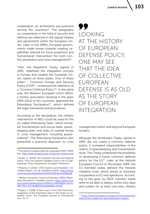cooperation on armaments procurement among the countries<sup>12</sup>. The paragraphs on cooperation in the field of security and defense are reflected in the signed treaties and agreements within the European Union. Later, in the 1990s, European governments made moves towards creating capabilities tailored for force projection and humanitarian intervention (for both conflict prevention and crisis management $)^{13}$ .

Then, the Maastricht Treaty, signed in 1992, redefined the integration process in Europe and created the European Union, based on three pillars. One of these pillars – Common Foreign and Security Policy (CFSP) – embraced the definition of a "Common Defense Policy"14. In the same year, the Western European Union (WEU), a former association (existing in the years 1955-2011) of ten countries, approved the Petersberg Declaration<sup>15</sup>, which defined the legal framework and procedures.

According to the declaration, the military intervention of WEU could be used for the so-called 'Petersberg Tasks,' which included: humanitarian and rescue tasks, peacekeeping tasks, and tasks of combat forces in crisis management, including peacemaking16. The Petersberg Declaration also presented a practical approach to crisis 99 LOOKING AT THE HISTORY OF EUROPEAN DEFENSE POLICY, ONE MAY SEE THAT THE IDEA OF COLLECTIVE EUROPEAN DEFENSE IS AS OLD AS THE STORY OF EUROPEAN INTEGRATION

management within and beyond European borders.

Although the Amsterdam Treaty, signed in 1997, did not create a common defense policy, it increased responsibilities in the realms of peacekeeping and humanitarian work. This Treaty underlined the possibility of developing a future common defense policy for the EU<sup>17</sup>. Later, at the Helsinki European Council in December 1999, the EU member states defined the Helsinki Headline Goal, which aimed at voluntary cooperation in EU-led operations. According to this goal, by 2003, member states were to be able to deploy within sixty days and sustain for at least one-year, military

<sup>&</sup>lt;sup>12</sup> The road to European defense cooperation (1947-1954). See:<https://eda.europa.eu/our-history/our-history.html>

<sup>13</sup> Quille, G. (2006) *The European Security and Defense Policy: From the Helsinki Headline Goal to the EU Battlegroups*, Policy Department, European Parliament.

<sup>14</sup> Missiroli, A. (2000) "CFSP, Defence and Flexibility", [in]: *Chaillot Papers*, Vol 38. Available [online]: [https://www.](https://www.iss.europa.eu/sites/default/files/EUISSFiles/cp038e.pdf) [iss.europa.eu/sites/default/files/EUISSFiles/cp038e.pdf](https://www.iss.europa.eu/sites/default/files/EUISSFiles/cp038e.pdf)

<sup>15</sup> Western European Council of Ministers (1992) *Petersberg Declaration*. Available [online]: [https://www.cvce.](https://www.cvce.eu/content/publication/1999/1/1/16938094-bb79-41ff-951c-f6c7aae8a97a/publishable_en.pdf ) [eu/content/publication/1999/1/1/16938094-bb79-](https://www.cvce.eu/content/publication/1999/1/1/16938094-bb79-41ff-951c-f6c7aae8a97a/publishable_en.pdf ) [41ff-951c-f6c7aae8a97a/publishable\\_en.pdf](https://www.cvce.eu/content/publication/1999/1/1/16938094-bb79-41ff-951c-f6c7aae8a97a/publishable_en.pdf ) 

<sup>16</sup> Pagani, F. (1998) "A New Gear in the CFSP Machinery: Integration of the Petersberg Tasks in the Treaty on European Union," [in]: *European Journal of International Law*, Vol. 9.

<sup>17</sup> [https://www.europarl.europa.eu/factsheets/en/](https://www.europarl.europa.eu/factsheets/en/sheet/3/the-maastricht-and-amsterdam-treaties ) [sheet/3/the-maastricht-and-amsterdam-treaties](https://www.europarl.europa.eu/factsheets/en/sheet/3/the-maastricht-and-amsterdam-treaties )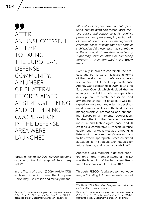99 AFTER AN UNSUCCESSFUL ATTEMPT TO LAUNCH THE EUROPEAN DEFENSE COMMUNITY, A NUMBER OF BILATERAL EFFORTS AIMED AT STRENGTHENING AND DEEPENING COOPERATION IN THE DEFENSE AREA WERE **LAUNCHED** 

forces of up to 50,000–60,000 persons capable of the full range of Petersberg tasks18.

In the Treaty of Lisbon (2009), Article 43(1) explained in which cases the European Union may use civilian and military means.

*"[I]t shall include joint disarmament operations, humanitarian and rescue tasks, military advice and assistance tasks, conflict prevention and peace-keeping tasks, tasks of combat forces in crisis management, including peace-making and post-conflict stabilization. All these tasks may contribute to the fight against terrorism, including by supporting third countries in combating terrorism in their territories"*19, the Treaty reads.

Eventually, in order to coordinate the process and put forward initiatives in terms of the development of defense cooperation within the EU, the European Defense Agency was established in 2004. It was the European Council which decided that an agency in the field of defense capabilities development, research, acquisition, and armaments should be created. It was designed to have four key roles: 1) developing defense capabilities in the field of crisis management; 2) promoting and enhancing European armaments cooperation; 3) strengthening the European defense industrial and technological base; and 4) creating a competitive European defense equipment market as well as promoting, in liaison with the community's research activities, where appropriate, research aimed at leadership in strategic technologies for future defense, and security capabilities<sup>20</sup>.

Another crucial moment in defense cooperation among member states of the EU was the launching of the Permanent Structured Cooperation (PESCO) in 2017.

Through PESCO, *"collaboration between the participating EU member states would* 

<sup>18</sup> Quille, G. (2006) *The European Security and Defense Policy: From the Helsinki Headline Goal to the EU Battlegroups*, Policy Department, European Parliament.

<sup>19</sup> Quille, G. (2009) *The Lisbon Treaty and Its Implications for CFSP/CSDP*, Policy Briefing.

<sup>20</sup> Quille, G. (2006) *The European Security and Defense Policy: From the Helsinki Headline Goal to the EU Battlegroups*, Policy Department, European Parliament.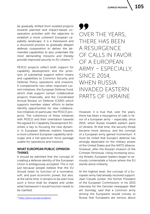*be gradually shifted from isolated projects towards planned and impact-based cooperation activities with the objective to establish a more coherent European capability landscape. It is a framework and a structured process to gradually deepen defense cooperation to deliver the demanded capabilities to also undertake the most demanding missions and thereby provide improved security to EU citizens."*<sup>21</sup>

PESCO projects reflect both support for capability development and the provision of substantial support within means and capabilities to Common Security and Defense Policy operations and missions. It complements two other important current initiatives: the European Defense Fund, which shall support certain collaborative projects financially, and the Coordinated Annual Review on Defense (CARD) which supports member states' efforts to better identify opportunities for new collaborative initiatives (in particular, the PESCO projects). The coherence of these initiatives with PESCO and their orientation towards the agreed EU Capability Development Priorities is key to focusing the new dynamic in European defense matters towards a more coherent European capability landscape and a full-spectrum force package usable for operations and missions.

### WHAT EUROPEAN PUBLIC OPINION **THINKS**

It should be admitted that the concept of creating a defense identity of the European Union is ambiguously accepted. This is not just because people believe that the EU should retain its function of a normative, soft, and pure economic power, but also, at the same time, it remains to be seen how such a force shall be shaped and under what framework it would function needs to be clarified.

99 OVER THE YEARS, THERE HAS BEEN A RESURGENCE OF CALLS IN FAVOR OF A EUROPEAN ARMY – ESPECIALLY, SINCE 2014, WHEN RUSSIA INVADED EASTERN PARTS OF UKRAINE

However, it is true that, over the years, there has been a resurgence of calls in favor of a European army – especially, since 2014, when Russia invaded eastern parts of Ukraine. At that time, the security threat became more obvious, and the concept of a European army gained momentum. It must be noted that Europe's defense has strongly depended on the military power of the United States and the NATO alliance. However, after the Russian invasion of the Crimean Peninsula, citing increasing security threats, European leaders began to seriously contemplate a future where the EU stands alone militarily.

At the highest level, the concept of a European army had already received support. Jean Claude Junker, the former President of the European Commission, in his 2015 interview for the German newspaper *Welt am Sonntag*, said that a common army among the Europeans would convey to Russia that Europeans are serious about

<sup>21</sup><https://pesco.europa.eu/about/>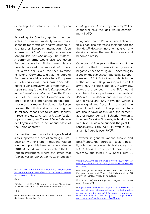defending the values of the European Union<sup>22</sup>.

According to Juncker, getting member states to combine militarily would make spending more efficient and would encourage further European integration. *"Such an army would help us design a common foreign and security policy,*" he stated<sup>23</sup>. A common army would also strengthen Europe's reputation. At that time, this approach received the support of others. Ursula von der Leyen, the then Defense Minister of Germany, said that the future of Europeans would one day be a European army, but *"not in the short term."*24 She added that such a move would *"strengthen Europe's security"* as well as *"a European pillar in the transatlantic alliance."*25 As the President of the European Commission, she once again has demonstrated her determination on this matter. Ursula von der Leyen has said the EU should seek to strengthen its military capabilities to counter security threats and global crises. *"It is time for Europe to step up to the next level,"* Ms. von der Leyen claimed in her annual State of the Union address $26$ .

Former German chancellor Angela Merkel also supported the idea of creating a European army after French President Macron touched upon this issue in his interview in 2018. Merkel delivered a speech in the European Parliament, where she stated that *"the EU has to look at the vision of one day* 

<sup>22</sup> [https://www.theguardian.com/world/2015/mar/08/](https://www.theguardian.com/world/2015/mar/08/jean-claude-juncker-calls-for-eu-army-european-commission-miltary) [jean-claude-juncker-calls-for-eu-army-european](https://www.theguardian.com/world/2015/mar/08/jean-claude-juncker-calls-for-eu-army-european-commission-miltary)[commission-miltary](https://www.theguardian.com/world/2015/mar/08/jean-claude-juncker-calls-for-eu-army-european-commission-miltary)

 $25$  Ibid.

*creating a real, true European army."*27 The chancellor said the idea would complement NATO.

Hungarian, Czech Republic, and Italian officials had also expressed their support for the idea.<sup>28</sup> However, no one has given any details on when the ambitious idea could become a reality.

Opinions of European citizens about the creation of the European joint army are not negative either [See: Figure 1]. According to a poll on the subject conducted by Eurobarometer in 2017, 74% of respondents in the Netherlands and Belgium supported an EU army, 65% in France, and 55% in Germany, favored the concept. In the EU's neutral countries, the support was at the levels of 45% in Austria, 46% Ireland, 42% in Finland, 55% in Malta, and 40% in Sweden, which is quite significant. According to a poll, the Central and Eastern European countries are also in favor of this idea, the percentage of respondents in Bulgaria, Romania, Hungary, Slovakia, Slovenia, Poland, Czech Republic, Latvia who support the joint European army is around 60 %, even in Lithuania this figure is over 70%29.

However, in general, various surveys and polls<sup>30</sup> show that European society heavily relies on the power which already exists: NATO. Across Europe, people have a positive view and trust NATO [See: Figure 2].

 $23$  Ibid.

<sup>24</sup> Mahony, H. (2015) "EU Commission Chief Makes Case for European Army," [in]: *EUobserver.com*, March 9.

<sup>26</sup> BBC (2021) *EU Must Step Up and Build Defence* – Von der Leyen, September 15.

<sup>27</sup> [https://www.theguardian.com/world/2018/nov/13/](https://www.theguardian.com/world/2018/nov/13/merkel-joins-macron-in-calling-for-a-real-true-european-army ) [merkel-joins-macron-in-calling-for-a-real-true-euro](https://www.theguardian.com/world/2018/nov/13/merkel-joins-macron-in-calling-for-a-real-true-european-army )[pean-army](https://www.theguardian.com/world/2018/nov/13/merkel-joins-macron-in-calling-for-a-real-true-european-army ) 

<sup>&</sup>lt;sup>28</sup> Reuters (2016) "Hungarian PM Orban Calls for Joint European Army" and "Czech PM Calls for Joint EU Army," [in]: *EUobserver.com*, August 22.

<sup>29</sup> Statista (2019) *Where Support Is Highest for an EU Army*, January 24.

<sup>30</sup> [https://www.pewresearch.org/fact-tank/2021/06/10/](https://www.pewresearch.org/fact-tank/2021/06/10/nato-continues-to-be-seen-in-a-favorable-light-by-people-in-member-states/) [nato-continues-to-be-seen-in-a-favorable-light-by](https://www.pewresearch.org/fact-tank/2021/06/10/nato-continues-to-be-seen-in-a-favorable-light-by-people-in-member-states/)[people-in-member-states/](https://www.pewresearch.org/fact-tank/2021/06/10/nato-continues-to-be-seen-in-a-favorable-light-by-people-in-member-states/); [https://www.romania-in](https://www.romania-insider.com/survey-nato-eu-trust-jan-2022)[sider.com/survey-nato-eu-trust-jan-2022;](https://www.romania-insider.com/survey-nato-eu-trust-jan-2022) [https://www.](https://www.nato.int/cps/en/natohq/news_184687.htm) [nato.int/cps/en/natohq/news\\_184687.htm](https://www.nato.int/cps/en/natohq/news_184687.htm)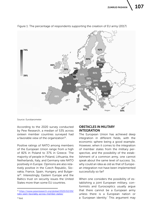**ZUMRUD PASHKIN** 



Figure 1: The percentage of respondents supporting the creation of EU army (2017)

Source: Eurobarometer

According to the 2020 survey conducted by Pew Research, a median of 53% across sixteen member countries surveyed had a favorable view of the organization $31$ .

Positive ratings of NATO among members of the European Union range from a high of 82% in Poland to 37% in Greece. The majority of people in Poland, Lithuania, the Netherlands, Italy, and Germany rate NATO positively in Europe. Opinions are also relatively positive in the Czech Republic, Slovakia, France, Spain, Hungary, and Bulgaria<sup>32</sup>. Interestingly, Eastern Europe and the Baltics trust on security issues the United States more than some EU countries.

# OBSTACLES IN MILITARY INTEGRATION

The European Union has achieved deep integration in different fields, with the economic sphere being a good example. However, when it comes to the integration of member states from the military perspective, and the possibility of the establishment of a common army, one cannot speak about the same level of success. So, why could an idea as old as that of European integration not have been implemented successfully so far?

When one considers the possibility of establishing a joint European military, conformists and Eurosceptics usually argue that there cannot be a European army unless there is a European nation or a 'European identity.' This argument may

<sup>31</sup> [https://www.pewresearch.org/global/2020/02/09/](https://www.pewresearch.org/global/2020/02/09/nato-seen-favorably-across-member-states/) [nato-seen-favorably-across-member-states/](https://www.pewresearch.org/global/2020/02/09/nato-seen-favorably-across-member-states/)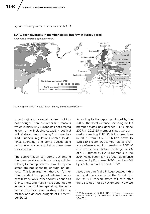#### Figure 2: Survey in member states on NATO



#### NATO seen favorably in member states, but few in Turkey agree

Source: Spring 2019 Global Attitudes Survey, Pew Research Center

sound logical to a certain extent, but it is not enough. There are other firm reasons which explain why Europe has not created its own army, including capability, political will of states, fear of being 'instrumentalized,' financial regulations related to defense spending, and some questionable points in legislative acts. Let us make these reasons clear.

The confrontation can come out among the member states in terms of capabilities relating to three problems: some European states are not spending enough on defense. This is an argument that even former USA president Trump had criticized. In recent history, while other countries such as China, India, and Russia have continued to increase their military spending, the economic crisis has caused a sharp cut in the military and defense budgets of EU Member States.

According to the report published by the EUISS, the total defense spending of EU member states has declined 14.5% since 2007: in 2015 EU member states were annually spending EUR 36 billion less than in 2007 (from EUR 216 billion down to EUR 180 billion). EU Member States' average defense spending remains at 1.5% of GDP on defense; below the target of 2% of GDP agreed by NATO members in the 2014 Wales Summit. It is a fact that defense spending by European NATO members fell by 35% between 1985 and 1995<sup>33</sup>.

Maybe we can find a linkage between this fact and the collapse of the Soviet Union, thus European states felt safe after the dissolution of Soviet empire. Now we

<sup>33</sup> Wołkonowski, J. (2018) "NATO Defense Expenditures in 1949-2017," [in]: *SHS Web of Conferences*, Vol. 57(01032).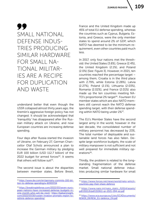# 99 SMALL NATIONAL DEFENSE INDUS-TRIES PRODUCING SIMILAR HARDWARE FOR SMALL NA-TIONAL MILITAR-IES ARE A RECIPE FOR DUPLICATION AND WASTE

understand better that even though the USSR collapsed almost thirty years ago, the Kremlin's aggressive foreign policy has not changed. It should be acknowledged that 'tranquility' has disappeared after the Russian military attack on Ukraine, and now European countries are increasing defense spending.

Four days after Russia started the invasion of Ukraine, on February 27, German Chancellor Olaf Scholz announced a plan to increase the German military by pledging EUR 100 billion (USD 112.7 billion) of the 2022 budget for armed forces $34$ . It seems that others will follow suit $35$ .

The second issue is about the disparities between member states. Before Brexit, France and the United Kingdom made up 45% of total EU defense spending, whereas the countries such as Cyprus, Bulgaria, Estonia, and Greece, were the only member states to spend around 2% of GDP, which NATO has deemed to be the minimum requirement, even other countries paid much less.

In 2017, only four nations met the threshold: the United States (3.6%), Greece (2.4%), the United Kingdom (2.1%), and Poland (2.0%) [See: Figure 3]. However, in 2021, ten countries reached the percentage target – among them, Croatia is in the third place with 2.79%, while Estonia (2.28%), Latvia (2.27%), Poland (2.1%), Lithuania (2.03%), Romania (2.02%), and France (2.01%) also made up the ten countries meeting NA-TO's proportional 2% target<sup>36</sup>. Fourteen EU member states which are also NATO members still cannot reach the NATO defense spending target, with their defense spending within NATO being under 2%37.

The EU's Member States have the second largest army in the world, however in the last decade, the consolidated number of military personnel has decreased by 23%. The total number of deployable and sustainable land forces has also fallen. Despite large workforce budgets, the scale of military manpower is not sufficient and not well prepared for immediate military op $erations<sup>38</sup>$ 

Thirdly, the problem is related to the longstanding fragmentation of the defense market. Small national defense industries producing similar hardware for small

<sup>34</sup> [https://www.dw.com/en/germany-commits-100-bil](https://www.dw.com/en/germany-commits-100-billion-to-defense-spending/a-60933724)[lion-to-defense-spending/a-60933724](https://www.dw.com/en/germany-commits-100-billion-to-defense-spending/a-60933724)

<sup>35</sup> [https://breakingdefense.com/2022/03/seven-euro](https://breakingdefense.com/2022/03/seven-european-nations-have-increased-defense-budgets-in-one-month-who-will-be-next/)[pean-nations-have-increased-defense-budgets-in](https://breakingdefense.com/2022/03/seven-european-nations-have-increased-defense-budgets-in-one-month-who-will-be-next/)[one-month-who-will-be-next/;](https://breakingdefense.com/2022/03/seven-european-nations-have-increased-defense-budgets-in-one-month-who-will-be-next/) [https://balkaninsight.](https://balkaninsight.com/2022/03/16/russian-invasion-prompts-region-to-rethink-defence-spending/) [com/2022/03/16/russian-invasion-prompts-region-to](https://balkaninsight.com/2022/03/16/russian-invasion-prompts-region-to-rethink-defence-spending/)[rethink-defence-spending/](https://balkaninsight.com/2022/03/16/russian-invasion-prompts-region-to-rethink-defence-spending/)

<sup>36</sup> [https://www.forces.net/news/world/nato-which](https://www.forces.net/news/world/nato-which-countries-pay-their-share-defence)[countries-pay-their-share-defence](https://www.forces.net/news/world/nato-which-countries-pay-their-share-defence)

<sup>37</sup> [https://www.nato.int/nato\\_static\\_fl2014/assets/](https://www.nato.int/nato_static_fl2014/assets/pdf/2021/6/pdf/210611-pr-2021-094-en.pdf) [pdf/2021/6/pdf/210611-pr-2021-094-en.pdf](https://www.nato.int/nato_static_fl2014/assets/pdf/2021/6/pdf/210611-pr-2021-094-en.pdf)

<sup>38</sup> [https://www.eca.europa.eu/Lists/ECADocuments/](https://www.eca.europa.eu/Lists/ECADocuments/REW19_09/REW_EU-defence_EN.pdf) [REW19\\_09/REW\\_EU-defence\\_EN.pdf](https://www.eca.europa.eu/Lists/ECADocuments/REW19_09/REW_EU-defence_EN.pdf)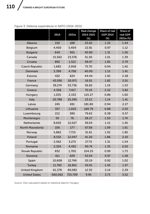|                        | 2014    | 2021e   | Real change<br>2014-2021<br>$(\%)$ | Share of real<br>GDP 2014<br>$(\%)$ | Share of<br>real GDP<br>2021e (%) |
|------------------------|---------|---------|------------------------------------|-------------------------------------|-----------------------------------|
| Albania                | 150     | 188     | 25.62                              | 1.35                                | 1.44                              |
| Belgium                | 4,400   | 5,404   | 22.81                              | 0.97                                | 1.12                              |
| <b>Bulgaria</b>        | 640     | 901     | 40.80                              | 1.31                                | 1.56                              |
| Canada                 | 15,562  | 23,576  | 51.50                              | 1.01                                | 1.39                              |
| Croatia                | 892     | 1,512   | 69.47                              | 1.85                                | 2.79                              |
| <b>Czech Republic</b>  | 1,683   | 2,958   | 75.70                              | 0.94                                | 1.42                              |
| Denmark                | 3,399   | 4,758   | 40.00                              | 1.15                                | 1.41                              |
| Estonia                | 432     | 624     | 44.44                              | 1.92                                | 2.28                              |
| France                 | 43,936  | 50,971  | 16.01                              | 1.82                                | 2.01                              |
| Germany                | 39,274  | 53,736  | 36.82                              | 1.19                                | 1.53                              |
| Greece                 | 4,358   | 7,417   | 70.19                              | 2.22                                | 3.82                              |
| Hungary                | 1,035   | 2,333   | 125.27                             | 0.86                                | 1.60                              |
| Italy                  | 20,788  | 25,595  | 23.12                              | 1.14                                | 1.41                              |
| Latvia                 | 245     | 691     | 181.80                             | 0.94                                | 2.27                              |
| Lithuania              | 357     | 1,003   | 180.79                             | 0.88                                | 2.03                              |
| Luxembourg             | 212     | 380     | 79.63                              | 0.38                                | 0.57                              |
| Montenegro             | 59      | 76      | 28.27                              | 1.50                                | 1.74                              |
| <b>Netherlands</b>     | 8,650   | 12,027  | 39.04                              | 1.15                                | 1.45                              |
| North Macedonia        | 106     | 177     | 67.58                              | 1.09                                | 1.61                              |
| Norway                 | 5,862   | 7,715   | 31.61                              | 1.55                                | 1.85                              |
| Poland                 | 8,532   | 12,047  | 41.20                              | 1.86                                | 2.10                              |
| Portugal               | 2,562   | 3,272   | 27.72                              | 1.31                                | 1.54                              |
| Romania                | 2,324   | 4.432   | 90.74                              | 1.35                                | 2.02                              |
| <b>Slovak Republic</b> | 832     | 1,700   | 104.25                             | 0.99                                | 1.73                              |
| Slovenia               | 411     | 629     | 53.04                              | 0.97                                | 1.28                              |
| Spain                  | 10,608  | 12,749  | 20.19                              | 0.92                                | 1.02                              |
| <b>Turkey</b>          | 11,783  | 16,851  | 43.01                              | 1.45                                | 1.57                              |
| <b>United Kingdom</b>  | 61,378  | 69,082  | 12.55                              | 2.14                                | 2.29                              |
| <b>United States</b>   | 660,062 | 725,709 | 9.95                               | 3,73                                | 3,52                              |

# Figure 3: Defense expenditure in NATO (2014-2021)

Source: Own calculation based on statistical data for Hungary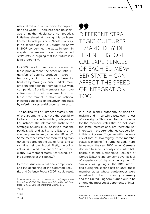national militaries are a recipe for duplication and waste<sup>39</sup>. There has been no shortage of neither declaratory nor practical initiatives aimed at solving this problem. Former French president Nicolas Sarkozy, in his speech at the Le Bourget Air Show in 2007, condemned the waste inherent in a system where each country demanded *' juste retour'*, arguing that the "future is in joint programs"40.

In 2009, two EU directives – one on defense procurement, the other on intra-EU transfers of defense products – were introduced, aiming to overcome these difficulties by making defense markets more efficient and opening them up to EU-wide competition. But still, member states make active use of offset requirements in defense procurement to shore up national industries and jobs, or circumvent the rules by referring to essential security interests.

The political will of European states is one of the arguments that have the possibility to be an obstacle to military integration. For instance, the International Institute for Strategic Studies (IISS) observed that the political will and ability to utilize the resources pose, indeed, a certain difficulty<sup>41</sup>. Some member states are more willing than others to agree on the use of force, and to sacrifice their own blood. Firstly, the political will is related to a fear of 'loss of sovereignty'. EU member states "fear relinquishing control over this policy."42

Defense issues are a national competence, and the deepening of the Common Security and Defense Policy (CSDP) could result

99 DIFFERENT STRA-TEGIC CULTURES – MARKED BY DIF-FERENT HISTORI-CAL EXPERIENCES OF EACH EU MEM-BER STATE – CAN AFFECT THE SPEED OF INTEGRATION, TOO

in a loss in their autonomy of decisionmaking and, in certain cases, even a loss of sovereignty. This could be controversial for the member states that do not share the same interests and, are therefore not interested in the strengthened cooperation in this policy area. Together with the anxiety of loss of sovereignty, these member states fear being 'instrumentalized'. Here, let us recall the year 2006, when Germany declined to send its newly constituted battlegroup to the Democratic Republic of Congo (DRC), citing concerns over its lack of experience of high-risk deployments<sup>43</sup>. Similarly, as fighting in the DRC intensified during the second half of 2008, those member states whose battlegroups were scheduled to be on standby (Germany and the United Kingdom) turned out to be among the most vocal opponents of intervention.

40 Ibid.

- $41$  Ibid.
- 42 Ibid.

<sup>39</sup> Genschel, P. and M. Jachtenfuchs (2013) *Beyond the Regulatory Polity? The European Integration of Core State Powers*, Oxford Scholarship Online, p.76.

<sup>43</sup> Menon, A. (2009) "Empowering Paradise? The ESDP at Ten," [in]: *International Affairs*, Vol. 85(2), March.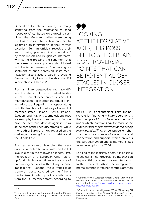Opposition to intervention by Germany stemmed from the reluctance to send troops to Africa, based on a growing suspicion that German soldiers were being used as a 'cover' by certain partners to legitimize an intervention in their former colonies. German officials revealed their fear of being, precisely, 'instrumentalized' by their French and Belgian counterparts, with some expressing the sentiment that the former colonial powers should deal with the issue themselves<sup>44</sup>. Increasing resentment of such perceived 'instrumentalization' also played a part in provoking German hostility towards the idea of an EU intervention in Chad in 2008.

From a military perspective, internally, different strategic cultures – marked by different historical experiences of each EU member state – can affect the speed of integration, too. Regarding this aspect, along with the tradition of neutrality of some EU member states (Finland, Austria, Ireland, Sweden, and Malta) it seems evident that. for example, the north and east of Europe have their territorial defense against Russia at the core of their security strategies, while the south of Europe is more focused on the challenges coming from North Africa and the Middle East.

From an economic viewpoint, the presence of inflexible financial rules on the EU level is clear in the following aspects. First, the creation of a European Union startup fund which would finance the costs of preparatory activities with military/defense implications<sup>45</sup>. Second, the current list of 'common costs' covered by the Athena mechanism (made up of contributions from the EU member states according to

99 LOOKING AT THE LEGISLATIVE ACTS, IT IS POSSI-BLE TO SEE CERTAIN CONTROVERSIAL POINTS THAT CAN BE POTENTIAL OB-STACLES IN CLOSER INTEGRATION

their GDP)<sup>46</sup> is not sufficient. Third, the basic rule for financing military operations is the principle of *"costs lie where they fall,"* under which *"countries pay for most of the expenses that they incur when participating in an operation"*47. All three aspects emphasize the non-existence of strong financial cooperation and support, which prevents the European Union and its member states from developing the CSDP.

Looking at the legislative acts, it is possible to see certain controversial points that can be potential obstacles in closer integration. In the Treaty of Lisbon, the intragovernmental method is retained for the Common

<sup>44</sup> Ibid.

<sup>45</sup> There is still no such start-up fund, hence the EU tries to address these issues through the European Defense Fund.

<sup>46</sup> Council of the European Union (2014) *Financing of Military Operations: The ATHENA Mechanism*. Available [online]: [https://www.consilium.europa.eu/me](https://www.consilium.europa.eu/media/29090/139880.pdf)[dia/29090/139880.pdf](https://www.consilium.europa.eu/media/29090/139880.pdf)

<sup>47</sup> Chevleski, A. and A. Gligorova (2018) "Financing EU Military Operations: The Athena Mechanism," [in]: *International Refereed Scientific Journal Vision*, Vol. 3(2), December.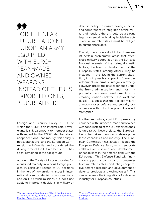99 FOR THE NEAR FUTURE, A JOINT EUROPEAN ARMY EQUIPPED WITH EURO-PEAN-MADE AND OWNED WEAPONS, INSTEAD OF THE U.S EXPORTED ONES, IS UNREALISTIC

Foreign and Security Policy (CFSP), of which the CSDP is an integral part. Sovereignty is still paramount to member states with regard to the CSDP. Member states adopt decisions unanimously; this policy is not supranational and the European Commission – influential and considered the driving force of the EU in other fields – has so far remained in the background.

Although the Treaty of Lisbon provides for a qualified majority in various foreign policies, in particular, related to EU positions in the field of human-rights issues in international forums, decisions on sanctions, and on EU civilian missions<sup>48</sup>, it does not apply to important decisions in military or defense policy. To ensure having effective and comprehensive integration of the military dimension, there should be a strong legal framework – binding legislative acts – and all member states must be obliged to pursue those acts.

Overall, there is no doubt that there exist certain problematic areas that affect close military cooperation at the EU level. National interests of the states, domestic factors, the level of development of the European states, among others, may be included in the list. In the current situation, it is impossible to predict future developments in terms of integration exactly. However, Brexit, the past experience under the Trump administration, and, most importantly, the current developments – increasing tensions between the West and Russia – suggest that the political will for a much closer defense and security cooperation within the European Union will strengthen.

For the near future, a joint European army equipped with European-made and owned weapons, instead of the U.S exported ones, is unrealistic. Nevertheless, the European Union has taken measures to develop defense capabilities and industry. The European Commission has already initiated the European Defense Fund, which supports collaborative research and development of capabilities in the defense field with the EU budget. This Defense Fund will financially support a consortia of companies from member states conducting cooperative defense research and development of defense products and technologies<sup>49</sup>. This can accelerate the integration of a defense industry for European countries.

<sup>48</sup> [https://pism.pl/publications/The\\_Introduction\\_of\\_](https://pism.pl/publications/The_Introduction_of_Qualified_Majority_Voting_in_EU_Foreign_Policy__Member_State_Perspectives) [Qualified\\_Majority\\_Voting\\_in\\_EU\\_Foreign\\_Policy\\_\\_](https://pism.pl/publications/The_Introduction_of_Qualified_Majority_Voting_in_EU_Foreign_Policy__Member_State_Perspectives) [Member\\_State\\_Perspectives](https://pism.pl/publications/The_Introduction_of_Qualified_Majority_Voting_in_EU_Foreign_Policy__Member_State_Perspectives)

<sup>49</sup> [https://ec.europa.eu/info/funding-tenders/find](https://ec.europa.eu/info/funding-tenders/find-funding/eu-funding-programmes/european-defence-fund_en )[funding/eu-funding-programmes/european-defence](https://ec.europa.eu/info/funding-tenders/find-funding/eu-funding-programmes/european-defence-fund_en )[fund\\_en](https://ec.europa.eu/info/funding-tenders/find-funding/eu-funding-programmes/european-defence-fund_en )